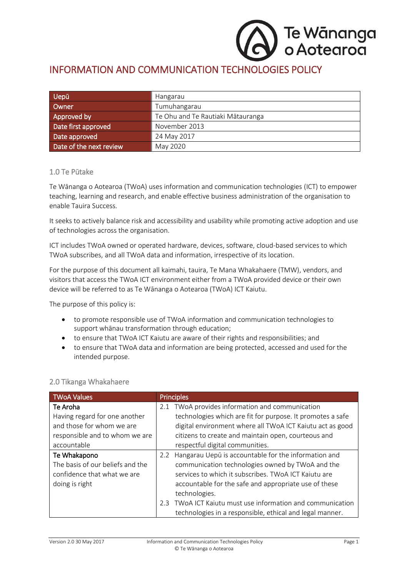# Te Wānanga<br>o Aotearoa

## INFORMATION AND COMMUNICATION TECHNOLOGIES POLICY

| Uepū                    | <b>Hangarau</b>                   |
|-------------------------|-----------------------------------|
| Owner                   | Tumuhangarau                      |
| Approved by             | Te Ohu and Te Rautiaki Mātauranga |
| Date first approved     | November 2013                     |
| Date approved           | 24 May 2017                       |
| Date of the next review | May 2020                          |

#### 1.0 Te Pūtake

Te Wānanga o Aotearoa (TWoA) uses information and communication technologies (ICT) to empower teaching, learning and research, and enable effective business administration of the organisation to enable Tauira Success.

It seeks to actively balance risk and accessibility and usability while promoting active adoption and use of technologies across the organisation.

ICT includes TWoA owned or operated hardware, devices, software, cloud-based services to which TWoA subscribes, and all TWoA data and information, irrespective of its location.

For the purpose of this document all kaimahi, tauira, Te Mana Whakahaere (TMW), vendors, and visitors that access the TWoA ICT environment either from a TWoA provided device or their own device will be referred to as Te Wānanga o Aotearoa (TWoA) ICT Kaiutu.

The purpose of this policy is:

- to promote responsible use of TWoA information and communication technologies to support whānau transformation through education;
- to ensure that TWoA ICT Kaiutu are aware of their rights and responsibilities; and
- to ensure that TWoA data and information are being protected, accessed and used for the intended purpose.

| <b>TWoA Values</b>               | <b>Principles</b>                                             |
|----------------------------------|---------------------------------------------------------------|
| Te Aroha                         | 2.1 TWoA provides information and communication               |
| Having regard for one another    | technologies which are fit for purpose. It promotes a safe    |
| and those for whom we are        | digital environment where all TWoA ICT Kaiutu act as good     |
| responsible and to whom we are   | citizens to create and maintain open, courteous and           |
| accountable                      | respectful digital communities.                               |
| Te Whakapono                     | Hangarau Uepū is accountable for the information and<br>2.2   |
| The basis of our beliefs and the | communication technologies owned by TWoA and the              |
| confidence that what we are      | services to which it subscribes. TWoA ICT Kaiutu are          |
| doing is right                   | accountable for the safe and appropriate use of these         |
|                                  | technologies.                                                 |
|                                  | TWoA ICT Kaiutu must use information and communication<br>2.3 |
|                                  | technologies in a responsible, ethical and legal manner.      |

#### 2.0 Tikanga Whakahaere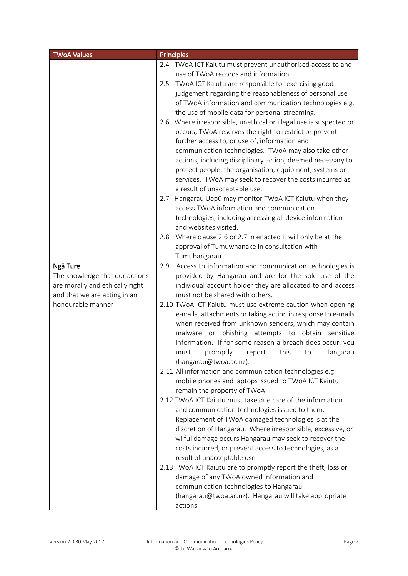| <b>TWoA Values</b>                                              | <b>Principles</b>                                                                             |
|-----------------------------------------------------------------|-----------------------------------------------------------------------------------------------|
|                                                                 | 2.4 TWoA ICT Kaiutu must prevent unauthorised access to and                                   |
|                                                                 | use of TWoA records and information.                                                          |
|                                                                 | TWoA ICT Kaiutu are responsible for exercising good<br>2.5                                    |
|                                                                 | judgement regarding the reasonableness of personal use                                        |
|                                                                 | of TWoA information and communication technologies e.g.                                       |
|                                                                 | the use of mobile data for personal streaming.                                                |
|                                                                 | Where irresponsible, unethical or illegal use is suspected or<br>2.6                          |
|                                                                 | occurs, TWoA reserves the right to restrict or prevent                                        |
|                                                                 | further access to, or use of, information and                                                 |
|                                                                 | communication technologies. TWoA may also take other                                          |
|                                                                 | actions, including disciplinary action, deemed necessary to                                   |
|                                                                 | protect people, the organisation, equipment, systems or                                       |
|                                                                 | services. TWoA may seek to recover the costs incurred as                                      |
|                                                                 | a result of unacceptable use.                                                                 |
|                                                                 | Hangarau Uepū may monitor TWoA ICT Kaiutu when they<br>2.7                                    |
|                                                                 | access TWoA information and communication                                                     |
|                                                                 | technologies, including accessing all device information                                      |
|                                                                 | and websites visited.                                                                         |
|                                                                 | Where clause 2.6 or 2.7 in enacted it will only be at the<br>2.8                              |
|                                                                 | approval of Tumuwhanake in consultation with                                                  |
|                                                                 | Tumuhangarau.                                                                                 |
| Ngā Ture                                                        | Access to information and communication technologies is<br>2.9                                |
| The knowledge that our actions                                  | provided by Hangarau and are for the sole use of the                                          |
| are morally and ethically right<br>and that we are acting in an | individual account holder they are allocated to and access<br>must not be shared with others. |
| honourable manner                                               | 2.10 TWoA ICT Kaiutu must use extreme caution when opening                                    |
|                                                                 | e-mails, attachments or taking action in response to e-mails                                  |
|                                                                 | when received from unknown senders, which may contain                                         |
|                                                                 | phishing attempts to obtain sensitive<br>malware or                                           |
|                                                                 | information. If for some reason a breach does occur, you                                      |
|                                                                 | this<br>promptly<br>must<br>report<br>to<br>Hangarau                                          |
|                                                                 | (hangarau@twoa.ac.nz).                                                                        |
|                                                                 | 2.11 All information and communication technologies e.g.                                      |
|                                                                 | mobile phones and laptops issued to TWoA ICT Kaiutu                                           |
|                                                                 | remain the property of TWoA.                                                                  |
|                                                                 | 2.12 TWoA ICT Kaiutu must take due care of the information                                    |
|                                                                 | and communication technologies issued to them.                                                |
|                                                                 | Replacement of TWoA damaged technologies is at the                                            |
|                                                                 | discretion of Hangarau. Where irresponsible, excessive, or                                    |
|                                                                 | wilful damage occurs Hangarau may seek to recover the                                         |
|                                                                 | costs incurred, or prevent access to technologies, as a                                       |
|                                                                 | result of unacceptable use.                                                                   |
|                                                                 | 2.13 TWoA ICT Kaiutu are to promptly report the theft, loss or                                |
|                                                                 | damage of any TWoA owned information and                                                      |
|                                                                 | communication technologies to Hangarau                                                        |
|                                                                 | (hangarau@twoa.ac.nz). Hangarau will take appropriate                                         |
|                                                                 | actions.                                                                                      |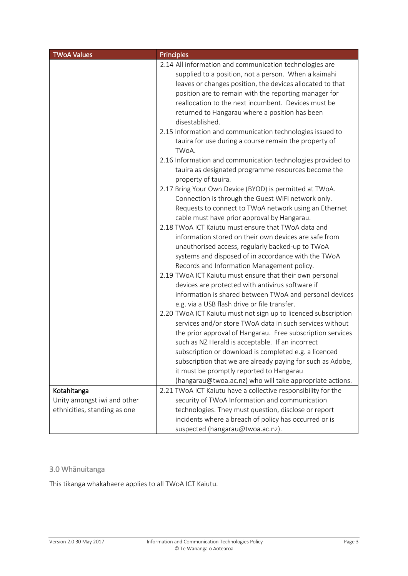| <b>TWoA Values</b>           | <b>Principles</b>                                                                                                                                                                                                                                                                                                                                                                                                                                                                                                                                                                                                                                                                                                                                                                                                                                                                                                                                                                                                                                                                                                                                                                                                                                                                                                                                                                                                                                                                                                                                                                                                                                                                                                                                                                             |
|------------------------------|-----------------------------------------------------------------------------------------------------------------------------------------------------------------------------------------------------------------------------------------------------------------------------------------------------------------------------------------------------------------------------------------------------------------------------------------------------------------------------------------------------------------------------------------------------------------------------------------------------------------------------------------------------------------------------------------------------------------------------------------------------------------------------------------------------------------------------------------------------------------------------------------------------------------------------------------------------------------------------------------------------------------------------------------------------------------------------------------------------------------------------------------------------------------------------------------------------------------------------------------------------------------------------------------------------------------------------------------------------------------------------------------------------------------------------------------------------------------------------------------------------------------------------------------------------------------------------------------------------------------------------------------------------------------------------------------------------------------------------------------------------------------------------------------------|
|                              | 2.14 All information and communication technologies are<br>supplied to a position, not a person. When a kaimahi<br>leaves or changes position, the devices allocated to that<br>position are to remain with the reporting manager for<br>reallocation to the next incumbent. Devices must be<br>returned to Hangarau where a position has been<br>disestablished.<br>2.15 Information and communication technologies issued to<br>tauira for use during a course remain the property of<br>TWoA.<br>2.16 Information and communication technologies provided to<br>tauira as designated programme resources become the<br>property of tauira.<br>2.17 Bring Your Own Device (BYOD) is permitted at TWoA.<br>Connection is through the Guest WiFi network only.<br>Requests to connect to TWoA network using an Ethernet<br>cable must have prior approval by Hangarau.<br>2.18 TWoA ICT Kaiutu must ensure that TWoA data and<br>information stored on their own devices are safe from<br>unauthorised access, regularly backed-up to TWoA<br>systems and disposed of in accordance with the TWoA<br>Records and Information Management policy.<br>2.19 TWoA ICT Kaiutu must ensure that their own personal<br>devices are protected with antivirus software if<br>information is shared between TWoA and personal devices<br>e.g. via a USB flash drive or file transfer.<br>2.20 TWoA ICT Kaiutu must not sign up to licenced subscription<br>services and/or store TWoA data in such services without<br>the prior approval of Hangarau. Free subscription services<br>such as NZ Herald is acceptable. If an incorrect<br>subscription or download is completed e.g. a licenced<br>subscription that we are already paying for such as Adobe,<br>it must be promptly reported to Hangarau |
|                              | (hangarau@twoa.ac.nz) who will take appropriate actions.                                                                                                                                                                                                                                                                                                                                                                                                                                                                                                                                                                                                                                                                                                                                                                                                                                                                                                                                                                                                                                                                                                                                                                                                                                                                                                                                                                                                                                                                                                                                                                                                                                                                                                                                      |
| Kotahitanga                  | 2.21 TWoA ICT Kaiutu have a collective responsibility for the                                                                                                                                                                                                                                                                                                                                                                                                                                                                                                                                                                                                                                                                                                                                                                                                                                                                                                                                                                                                                                                                                                                                                                                                                                                                                                                                                                                                                                                                                                                                                                                                                                                                                                                                 |
| Unity amongst iwi and other  | security of TWoA Information and communication                                                                                                                                                                                                                                                                                                                                                                                                                                                                                                                                                                                                                                                                                                                                                                                                                                                                                                                                                                                                                                                                                                                                                                                                                                                                                                                                                                                                                                                                                                                                                                                                                                                                                                                                                |
| ethnicities, standing as one | technologies. They must question, disclose or report                                                                                                                                                                                                                                                                                                                                                                                                                                                                                                                                                                                                                                                                                                                                                                                                                                                                                                                                                                                                                                                                                                                                                                                                                                                                                                                                                                                                                                                                                                                                                                                                                                                                                                                                          |
|                              | incidents where a breach of policy has occurred or is                                                                                                                                                                                                                                                                                                                                                                                                                                                                                                                                                                                                                                                                                                                                                                                                                                                                                                                                                                                                                                                                                                                                                                                                                                                                                                                                                                                                                                                                                                                                                                                                                                                                                                                                         |
|                              | suspected (hangarau@twoa.ac.nz).                                                                                                                                                                                                                                                                                                                                                                                                                                                                                                                                                                                                                                                                                                                                                                                                                                                                                                                                                                                                                                                                                                                                                                                                                                                                                                                                                                                                                                                                                                                                                                                                                                                                                                                                                              |

### 3.0 Whānuitanga

This tikanga whakahaere applies to all TWoA ICT Kaiutu.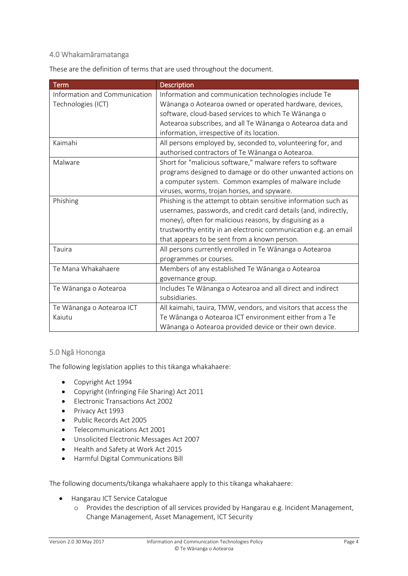#### 4.0 Whakamāramatanga

These are the definition of terms that are used throughout the document.

| <b>Term</b>                   | <b>Description</b>                                              |
|-------------------------------|-----------------------------------------------------------------|
| Information and Communication | Information and communication technologies include Te           |
| Technologies (ICT)            | Wānanga o Aotearoa owned or operated hardware, devices,         |
|                               | software, cloud-based services to which Te Wānanga o            |
|                               | Aotearoa subscribes, and all Te Wānanga o Aotearoa data and     |
|                               | information, irrespective of its location.                      |
| Kaimahi                       | All persons employed by, seconded to, volunteering for, and     |
|                               | authorised contractors of Te Wānanga o Aotearoa.                |
| Malware                       | Short for "malicious software," malware refers to software      |
|                               | programs designed to damage or do other unwanted actions on     |
|                               | a computer system. Common examples of malware include           |
|                               | viruses, worms, trojan horses, and spyware.                     |
| Phishing                      | Phishing is the attempt to obtain sensitive information such as |
|                               | usernames, passwords, and credit card details (and, indirectly, |
|                               | money), often for malicious reasons, by disguising as a         |
|                               | trustworthy entity in an electronic communication e.g. an email |
|                               | that appears to be sent from a known person.                    |
| Tauira                        | All persons currently enrolled in Te Wānanga o Aotearoa         |
|                               | programmes or courses.                                          |
| Te Mana Whakahaere            | Members of any established Te Wānanga o Aotearoa                |
|                               | governance group.                                               |
| Te Wānanga o Aotearoa         | Includes Te Wānanga o Aotearoa and all direct and indirect      |
|                               | subsidiaries.                                                   |
| Te Wānanga o Aotearoa ICT     | All kaimahi, tauira, TMW, vendors, and visitors that access the |
| Kaiutu                        | Te Wānanga o Aotearoa ICT environment either from a Te          |
|                               | Wānanga o Aotearoa provided device or their own device.         |

#### 5.0 Ngā Hononga

The following legislation applies to this tikanga whakahaere:

- Copyright Act 1994
- Copyright (Infringing File Sharing) Act 2011
- Electronic Transactions Act 2002
- Privacy Act 1993
- Public Records Act 2005
- **•** Telecommunications Act 2001
- Unsolicited Electronic Messages Act 2007
- Health and Safety at Work Act 2015
- Harmful Digital Communications Bill

The following documents/tikanga whakahaere apply to this tikanga whakahaere:

- Hangarau ICT Service Catalogue
	- o Provides the description of all services provided by Hangarau e.g. Incident Management, Change Management, Asset Management, ICT Security